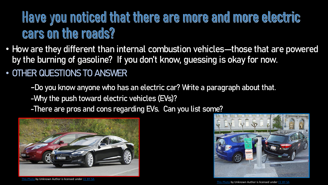## Have you noticed that there are more and more electric cars on the roads?

- How are they different than internal combustion vehicles—those that are powered by the burning of gasoline? If you don't know, guessing is okay for now.
- OTHER QUESTIONS TO ANSWER
	- -Do you know anyone who has an electric car? Write a paragraph about that.
	- -Why the push toward electric vehicles (EVs)?
	- -There are pros and cons regarding EVs. Can you list some?



by Unknown Author is licensed under



[This Photo](https://en.wikipedia.org/wiki/List_of_modern_production_plug-in_electric_vehicles) by Unknown Author is licensed under [CC BY-SA](https://creativecommons.org/licenses/by-sa/3.0/)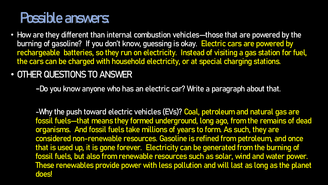## Possible answers:

- How are they different than internal combustion vehicles—those that are powered by the burning of gasoline? If you don't know, guessing is okay. Electric cars are powered by rechargeable batteries, so they run on electricity. Instead of visiting a gas station for fuel, the cars can be charged with household electricity, or at special charging stations.
- OTHER QUESTIONS TO ANSWER

-Do you know anyone who has an electric car? Write a paragraph about that.

-Why the push toward electric vehicles (EVs)? Coal, petroleum and natural gas are fossil fuels—that means they formed underground, long ago, from the remains of dead organisms. And fossil fuels take millions of years to form. As such, they are considered non-renewable resources. Gasoline is refined from petroleum, and once that is used up, it is gone forever. Electricity can be generated from the burning of fossil fuels, but also from renewable resources such as solar, wind and water power. These renewables provide power with less pollution and will last as long as the planet does!